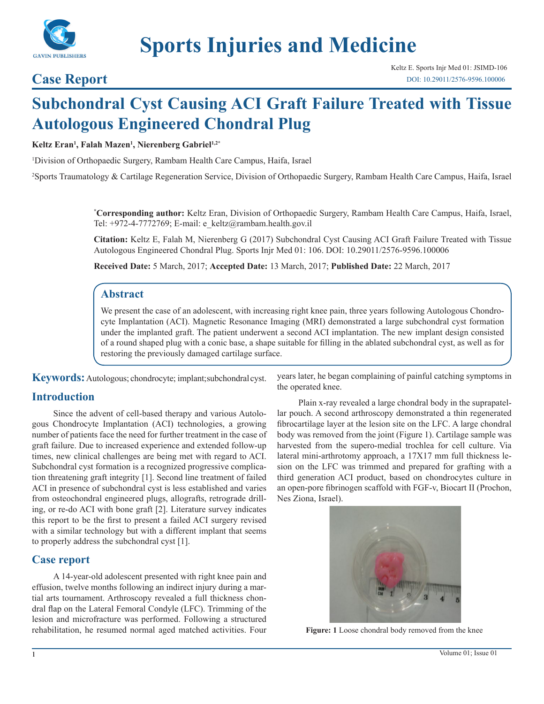

# **Sports Injuries and Medicine**

### **Case Report**

## **Subchondral Cyst Causing ACI Graft Failure Treated with Tissue Autologous Engineered Chondral Plug**

#### **Keltz Eran1 , Falah Mazen1 , Nierenberg Gabriel1,2\***

1 Division of Orthopaedic Surgery, Rambam Health Care Campus, Haifa, Israel

2 Sports Traumatology & Cartilage Regeneration Service, Division of Orthopaedic Surgery, Rambam Health Care Campus, Haifa, Israel

**\* Corresponding author:** Keltz Eran, Division of Orthopaedic Surgery, Rambam Health Care Campus, Haifa, Israel, Tel: +972-4-7772769; E-mail: e\_keltz@rambam.health.gov.il

**Citation:** Keltz E, Falah M, Nierenberg G (2017) Subchondral Cyst Causing ACI Graft Failure Treated with Tissue Autologous Engineered Chondral Plug. Sports Injr Med 01: 106. DOI: 10.29011/2576-9596.100006

**Received Date:** 5 March, 2017; **Accepted Date:** 13 March, 2017; **Published Date:** 22 March, 2017

#### **Abstract**

We present the case of an adolescent, with increasing right knee pain, three years following Autologous Chondrocyte Implantation (ACI). Magnetic Resonance Imaging (MRI) demonstrated a large subchondral cyst formation under the implanted graft. The patient underwent a second ACI implantation. The new implant design consisted of a round shaped plug with a conic base, a shape suitable for filling in the ablated subchondral cyst, as well as for restoring the previously damaged cartilage surface.

**Keywords:** Autologous; chondrocyte; implant; subchondral cyst.

#### **Introduction**

Since the advent of cell-based therapy and various Autologous Chondrocyte Implantation (ACI) technologies, a growing number of patients face the need for further treatment in the case of graft failure. Due to increased experience and extended follow-up times, new clinical challenges are being met with regard to ACI. Subchondral cyst formation is a recognized progressive complication threatening graft integrity [1]. Second line treatment of failed ACI in presence of subchondral cyst is less established and varies from osteochondral engineered plugs, allografts, retrograde drilling, or re-do ACI with bone graft [2]. Literature survey indicates this report to be the first to present a failed ACI surgery revised with a similar technology but with a different implant that seems to properly address the subchondral cyst [1].

#### **Case report**

A 14-year-old adolescent presented with right knee pain and effusion, twelve months following an indirect injury during a martial arts tournament. Arthroscopy revealed a full thickness chondral flap on the Lateral Femoral Condyle (LFC). Trimming of the lesion and microfracture was performed. Following a structured rehabilitation, he resumed normal aged matched activities. Four years later, he began complaining of painful catching symptoms in the operated knee.

Plain x-ray revealed a large chondral body in the suprapatellar pouch. A second arthroscopy demonstrated a thin regenerated fibrocartilage layer at the lesion site on the LFC. A large chondral body was removed from the joint (Figure 1). Cartilage sample was harvested from the supero-medial trochlea for cell culture. Via lateral mini-arthrotomy approach, a 17X17 mm full thickness lesion on the LFC was trimmed and prepared for grafting with a third generation ACI product, based on chondrocytes culture in an open-pore fibrinogen scaffold with FGF-v, Biocart II (Prochon, Nes Ziona, Israel).



**Figure: 1** Loose chondral body removed from the knee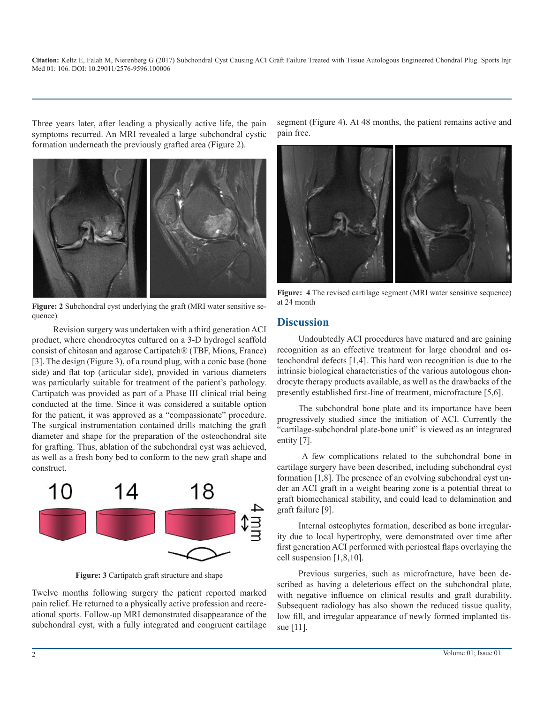**Citation:** Keltz E, Falah M, Nierenberg G (2017) Subchondral Cyst Causing ACI Graft Failure Treated with Tissue Autologous Engineered Chondral Plug. Sports Injr Med 01: 106. DOI: 10.29011/2576-9596.100006

Three years later, after leading a physically active life, the pain symptoms recurred. An MRI revealed a large subchondral cystic formation underneath the previously grafted area (Figure 2).



Figure: 2 Subchondral cyst underlying the graft (MRI water sensitive sequence)

Revision surgery was undertaken with a third generation ACI product, where chondrocytes cultured on a 3-D hydrogel scaffold consist of chitosan and agarose Cartipatch® (TBF, Mions, France) [3]. The design (Figure 3), of a round plug, with a conic base (bone side) and flat top (articular side), provided in various diameters was particularly suitable for treatment of the patient's pathology. Cartipatch was provided as part of a Phase III clinical trial being conducted at the time. Since it was considered a suitable option for the patient, it was approved as a "compassionate" procedure. The surgical instrumentation contained drills matching the graft diameter and shape for the preparation of the osteochondral site for grafting. Thus, ablation of the subchondral cyst was achieved, as well as a fresh bony bed to conform to the new graft shape and construct.



**Figure: 3** Cartipatch graft structure and shape

Twelve months following surgery the patient reported marked pain relief. He returned to a physically active profession and recreational sports. Follow-up MRI demonstrated disappearance of the subchondral cyst, with a fully integrated and congruent cartilage segment (Figure 4). At 48 months, the patient remains active and pain free.



**Figure: 4** The revised cartilage segment (MRI water sensitive sequence) at 24 month

#### **Discussion**

Undoubtedly ACI procedures have matured and are gaining recognition as an effective treatment for large chondral and osteochondral defects [1,4]. This hard won recognition is due to the intrinsic biological characteristics of the various autologous chondrocyte therapy products available, as well as the drawbacks of the presently established first-line of treatment, microfracture [5,6].

The subchondral bone plate and its importance have been progressively studied since the initiation of ACI. Currently the "cartilage-subchondral plate-bone unit" is viewed as an integrated entity [7].

A few complications related to the subchondral bone in cartilage surgery have been described, including subchondral cyst formation [1,8]. The presence of an evolving subchondral cyst under an ACI graft in a weight bearing zone is a potential threat to graft biomechanical stability, and could lead to delamination and graft failure [9].

Internal osteophytes formation, described as bone irregularity due to local hypertrophy, were demonstrated over time after first generation ACI performed with periosteal flaps overlaying the cell suspension [1,8,10].

Previous surgeries, such as microfracture, have been described as having a deleterious effect on the subchondral plate, with negative influence on clinical results and graft durability. Subsequent radiology has also shown the reduced tissue quality, low fill, and irregular appearance of newly formed implanted tissue [11].